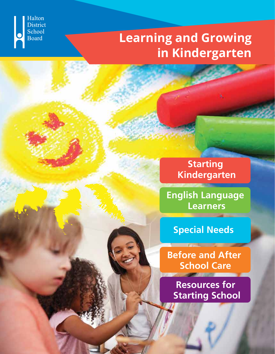

# **Learning and Growing in Kindergarten**

**Starting Kindergarten**

**English Language Learners**

**Special Needs**

**Before and After School Care**

**CONTRACTOR** 

**Resources for Starting School**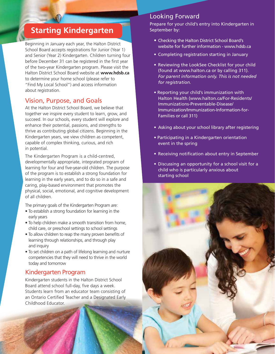# **Starting Kindergarten**

Beginning in January each year, the Halton District School Board accepts registrations for Junior (Year 1) and Senior (Year 2) Kindergarten. Children turning four before December 31 can be registered in the first year of the two-year Kindergarten program. Please visit the Halton District School Board website at **www.hdsb.ca** to determine your home school (please refer to "Find My Local School") and access information about registration.

#### Vision, Purpose, and Goals

At the Halton District School Board, we believe that together we inspire every student to learn, grow, and succeed. In our schools, every student will explore and enhance their potential, passions, and strengths to thrive as contributing global citizens. Beginning in the Kindergarten years, we view children as competent, capable of complex thinking, curious, and rich in potential.

The Kindergarten Program is a child-centred, developmentally appropriate, integrated program of learning for four and five-year-old children. The purpose of the program is to establish a strong foundation for learning in the early years, and to do so in a safe and caring, play-based environment that promotes the physical, social, emotional, and cognitive development of all children.

The primary goals of the Kindergarten Program are:

- To establish a strong foundation for learning in the early years
- To help children make a smooth transition from home, child care, or preschool settings to school settings
- To allow children to reap the many proven benefits of learning through relationships, and through play and inquiry
- To set children on a path of lifelong learning and nurture competencies that they will need to thrive in the world today and tomorrow

#### Kindergarten Program

į

Kindergarten students in the Halton District School Board attend school full-day, five days a week. Students learn from an educator team consisting of an Ontario Certified Teacher and a Designated Early Childhood Educator.

#### Looking Forward

Prepare for your child's entry into Kindergarten in September by:

- Checking the Halton District School Board's website for further information - www.hdsb.ca
- Completing registration starting in January
- Reviewing the LookSee Checklist for your child (found at www.halton.ca or by calling 311). *For parent information only. This is not needed for registration.*
- Reporting your child's immunization with Halton Health (www.halton.ca/For-Residents/ Immunizations-Preventable-Disease/ Immunization/Immunization-Information-for- Families or call 311)
- Asking about your school library after registering
- Participating in a Kindergarten orientation event in the spring
- Receiving notification about entry in September
- Discussing an opportunity for a school visit for a child who is particularly anxious about starting school

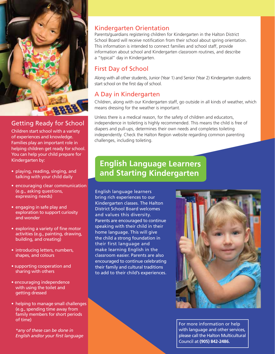

### Getting Ready for School

Children start school with a variety of experiences and knowledge. Families play an important role in helping children get ready for school. You can help your child prepare for Kindergarten by:

- playing, reading, singing, and talking with your child daily
- encouraging clear communication (e.g., asking questions, expressing needs)
- engaging in safe play and exploration to support curiosity and wonder
- exploring a variety of fine motor activities (e.g., painting, drawing, building, and creating)
- introducing letters, numbers, shapes, and colours
- supporting cooperation and sharing with others
- encouraging independence with using the toilet and getting dressed
- helping to manage small challenges (e.g., spending time away from family members for short periods of time)

 *\*any of these can be done in English and/or your first language*

#### Kindergarten Orientation

Parents/guardians registering children for Kindergarten in the Halton District School Board will receive notification from their school about spring orientation. This information is intended to connect families and school staff, provide information about school and Kindergarten classroom routines, and describe a "typical" day in Kindergarten.

#### First Day of School

Along with all other students, Junior (Year 1) and Senior (Year 2) Kindergarten students start school on the first day of school.

## A Day in Kindergarten

Children, along with our Kindergarten staff, go outside in all kinds of weather, which means dressing for the weather is important.

Unless there is a medical reason, for the safety of children and educators, independence in toileting is highly recommended. This means the child is free of diapers and pull-ups, determines their own needs and completes toileting independently. Check the Halton Region website regarding common parenting challenges, including toileting.

## **English Language Learners and Starting Kindergarten**

English language learners bring rich experiences to our Kindergarten classes. The Halton District School Board welcomes and values this diversity. Parents are encouraged to continue speaking with their child in their home language. This will give the child a strong foundation in their first language and make learning English in the classroom easier. Parents are also encouraged to continue celebrating their family and cultural traditions to add to their child's experiences.



For more information or help with language and other services, please call the Halton Multicultural Council at **(905) 842-2486.**